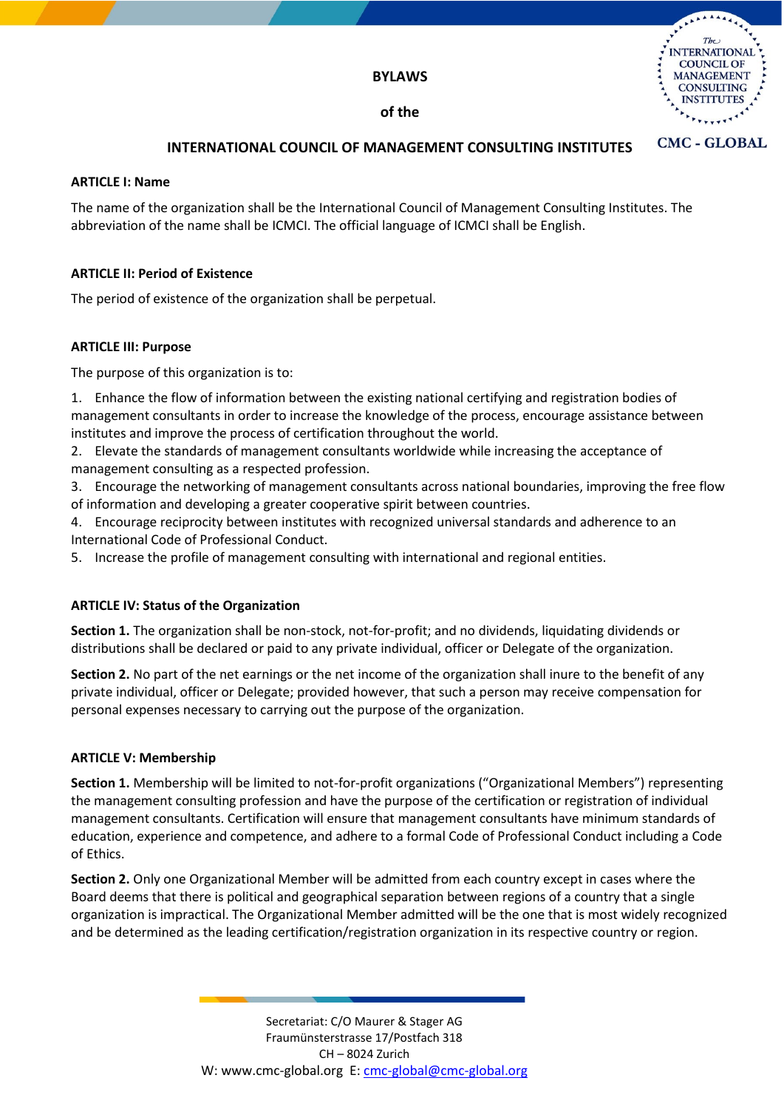

# **INTERNATIONAL COUNCIL OF MANAGEMENT CONSULTING INSTITUTES**

#### **ARTICLE I: Name**

The name of the organization shall be the International Council of Management Consulting Institutes. The abbreviation of the name shall be ICMCI. The official language of ICMCI shall be English.

## **ARTICLE II: Period of Existence**

The period of existence of the organization shall be perpetual.

## **ARTICLE III: Purpose**

The purpose of this organization is to:

1. Enhance the flow of information between the existing national certifying and registration bodies of management consultants in order to increase the knowledge of the process, encourage assistance between institutes and improve the process of certification throughout the world.

- 2. Elevate the standards of management consultants worldwide while increasing the acceptance of management consulting as a respected profession.
- 3. Encourage the networking of management consultants across national boundaries, improving the free flow of information and developing a greater cooperative spirit between countries.
- 4. Encourage reciprocity between institutes with recognized universal standards and adherence to an International Code of Professional Conduct.
- 5. Increase the profile of management consulting with international and regional entities.

## **ARTICLE IV: Status of the Organization**

**Section 1.** The organization shall be non-stock, not-for-profit; and no dividends, liquidating dividends or distributions shall be declared or paid to any private individual, officer or Delegate of the organization.

**Section 2.** No part of the net earnings or the net income of the organization shall inure to the benefit of any private individual, officer or Delegate; provided however, that such a person may receive compensation for personal expenses necessary to carrying out the purpose of the organization.

## **ARTICLE V: Membership**

**Section 1.** Membership will be limited to not-for-profit organizations ("Organizational Members") representing the management consulting profession and have the purpose of the certification or registration of individual management consultants. Certification will ensure that management consultants have minimum standards of education, experience and competence, and adhere to a formal Code of Professional Conduct including a Code of Ethics.

**Section 2.** Only one Organizational Member will be admitted from each country except in cases where the Board deems that there is political and geographical separation between regions of a country that a single organization is impractical. The Organizational Member admitted will be the one that is most widely recognized and be determined as the leading certification/registration organization in its respective country or region.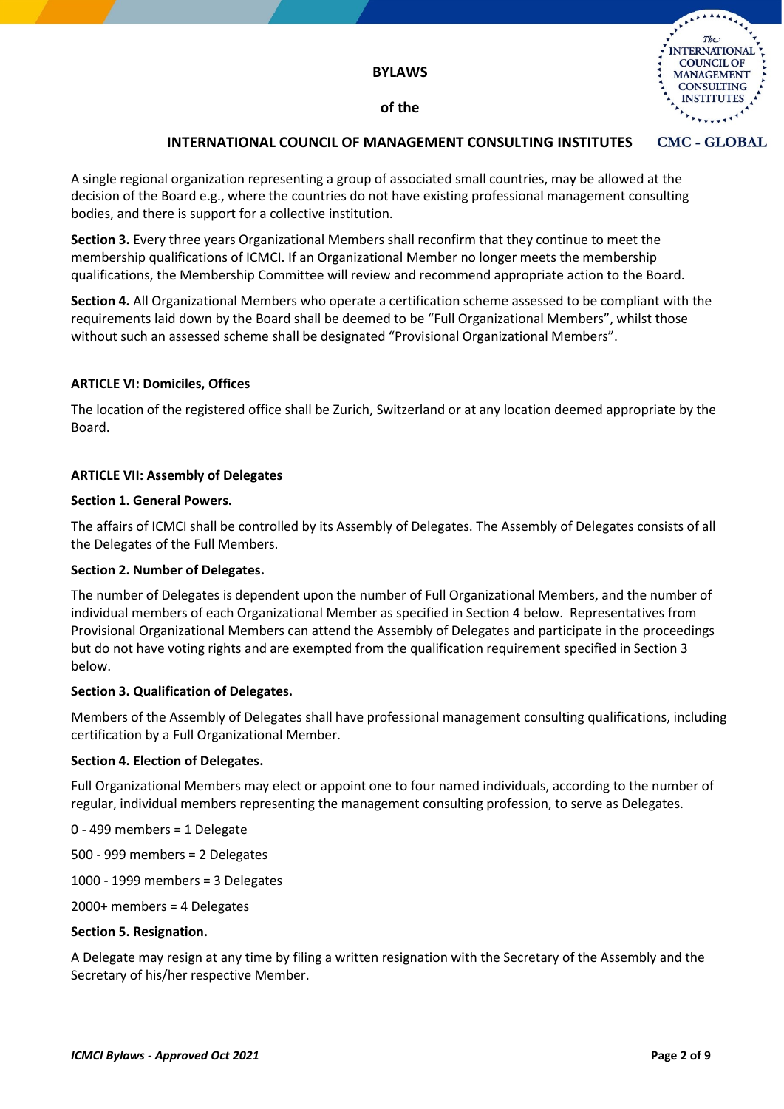

#### **CMC - GLOBAL INTERNATIONAL COUNCIL OF MANAGEMENT CONSULTING INSTITUTES**

A single regional organization representing a group of associated small countries, may be allowed at the decision of the Board e.g., where the countries do not have existing professional management consulting bodies, and there is support for a collective institution.

**Section 3.** Every three years Organizational Members shall reconfirm that they continue to meet the membership qualifications of ICMCI. If an Organizational Member no longer meets the membership qualifications, the Membership Committee will review and recommend appropriate action to the Board.

**Section 4.** All Organizational Members who operate a certification scheme assessed to be compliant with the requirements laid down by the Board shall be deemed to be "Full Organizational Members", whilst those without such an assessed scheme shall be designated "Provisional Organizational Members".

# **ARTICLE VI: Domiciles, Offices**

The location of the registered office shall be Zurich, Switzerland or at any location deemed appropriate by the Board.

# **ARTICLE VII: Assembly of Delegates**

## **Section 1. General Powers.**

The affairs of ICMCI shall be controlled by its Assembly of Delegates. The Assembly of Delegates consists of all the Delegates of the Full Members.

## **Section 2. Number of Delegates.**

The number of Delegates is dependent upon the number of Full Organizational Members, and the number of individual members of each Organizational Member as specified in Section 4 below. Representatives from Provisional Organizational Members can attend the Assembly of Delegates and participate in the proceedings but do not have voting rights and are exempted from the qualification requirement specified in Section 3 below.

## **Section 3. Qualification of Delegates.**

Members of the Assembly of Delegates shall have professional management consulting qualifications, including certification by a Full Organizational Member.

## **Section 4. Election of Delegates.**

Full Organizational Members may elect or appoint one to four named individuals, according to the number of regular, individual members representing the management consulting profession, to serve as Delegates.

0 - 499 members = 1 Delegate

500 - 999 members = 2 Delegates

1000 - 1999 members = 3 Delegates

2000+ members = 4 Delegates

## **Section 5. Resignation.**

A Delegate may resign at any time by filing a written resignation with the Secretary of the Assembly and the Secretary of his/her respective Member.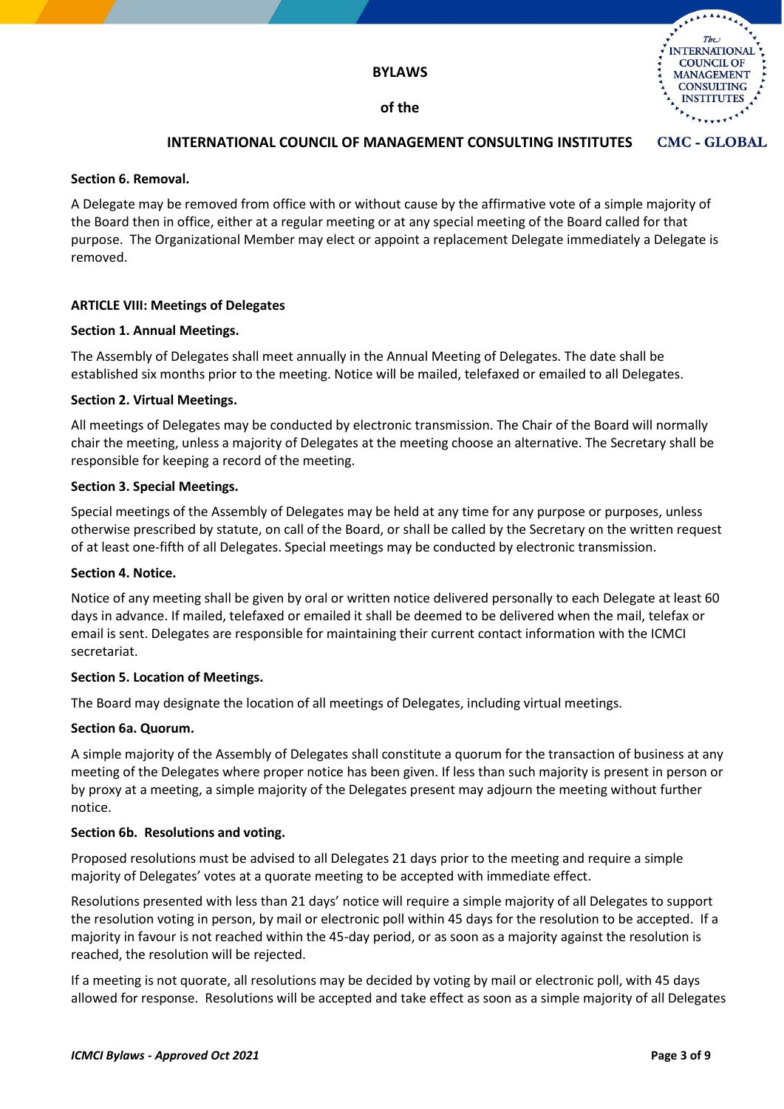

#### **CMC - GLOBAL INTERNATIONAL COUNCIL OF MANAGEMENT CONSULTING INSTITUTES**

#### **Section 6. Removal.**

A Delegate may be removed from office with or without cause by the affirmative vote of a simple majority of the Board then in office, either at a regular meeting or at any special meeting of the Board called for that purpose. The Organizational Member may elect or appoint a replacement Delegate immediately a Delegate is removed.

## **ARTICLE VIII: Meetings of Delegates**

#### **Section 1. Annual Meetings.**

The Assembly of Delegates shall meet annually in the Annual Meeting of Delegates. The date shall be established six months prior to the meeting. Notice will be mailed, telefaxed or emailed to all Delegates.

#### **Section 2. Virtual Meetings.**

All meetings of Delegates may be conducted by electronic transmission. The Chair of the Board will normally chair the meeting, unless a majority of Delegates at the meeting choose an alternative. The Secretary shall be responsible for keeping a record of the meeting.

#### **Section 3. Special Meetings.**

Special meetings of the Assembly of Delegates may be held at any time for any purpose or purposes, unless otherwise prescribed by statute, on call of the Board, or shall be called by the Secretary on the written request of at least one-fifth of all Delegates. Special meetings may be conducted by electronic transmission.

#### **Section 4. Notice.**

Notice of any meeting shall be given by oral or written notice delivered personally to each Delegate at least 60 days in advance. If mailed, telefaxed or emailed it shall be deemed to be delivered when the mail, telefax or email is sent. Delegates are responsible for maintaining their current contact information with the ICMCI secretariat.

## **Section 5. Location of Meetings.**

The Board may designate the location of all meetings of Delegates, including virtual meetings.

#### **Section 6a. Quorum.**

A simple majority of the Assembly of Delegates shall constitute a quorum for the transaction of business at any meeting of the Delegates where proper notice has been given. If less than such majority is present in person or by proxy at a meeting, a simple majority of the Delegates present may adjourn the meeting without further notice.

#### **Section 6b. Resolutions and voting.**

Proposed resolutions must be advised to all Delegates 21 days prior to the meeting and require a simple majority of Delegates' votes at a quorate meeting to be accepted with immediate effect.

Resolutions presented with less than 21 days' notice will require a simple majority of all Delegates to support the resolution voting in person, by mail or electronic poll within 45 days for the resolution to be accepted. If a majority in favour is not reached within the 45-day period, or as soon as a majority against the resolution is reached, the resolution will be rejected.

If a meeting is not quorate, all resolutions may be decided by voting by mail or electronic poll, with 45 days allowed for response. Resolutions will be accepted and take effect as soon as a simple majority of all Delegates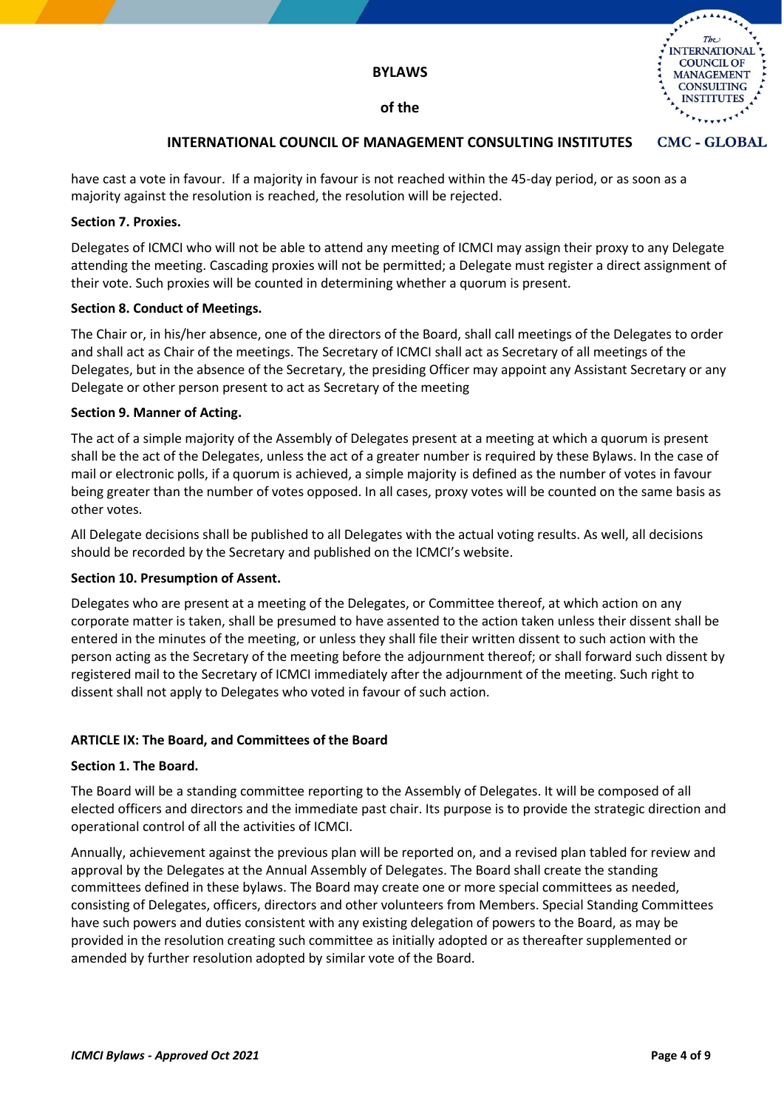



#### **CMC - GLOBAL INTERNATIONAL COUNCIL OF MANAGEMENT CONSULTING INSTITUTES**

have cast a vote in favour. If a majority in favour is not reached within the 45-day period, or as soon as a majority against the resolution is reached, the resolution will be rejected.

## **Section 7. Proxies.**

Delegates of ICMCI who will not be able to attend any meeting of ICMCI may assign their proxy to any Delegate attending the meeting. Cascading proxies will not be permitted; a Delegate must register a direct assignment of their vote. Such proxies will be counted in determining whether a quorum is present.

## **Section 8. Conduct of Meetings.**

The Chair or, in his/her absence, one of the directors of the Board, shall call meetings of the Delegates to order and shall act as Chair of the meetings. The Secretary of ICMCI shall act as Secretary of all meetings of the Delegates, but in the absence of the Secretary, the presiding Officer may appoint any Assistant Secretary or any Delegate or other person present to act as Secretary of the meeting

## **Section 9. Manner of Acting.**

The act of a simple majority of the Assembly of Delegates present at a meeting at which a quorum is present shall be the act of the Delegates, unless the act of a greater number is required by these Bylaws. In the case of mail or electronic polls, if a quorum is achieved, a simple majority is defined as the number of votes in favour being greater than the number of votes opposed. In all cases, proxy votes will be counted on the same basis as other votes.

All Delegate decisions shall be published to all Delegates with the actual voting results. As well, all decisions should be recorded by the Secretary and published on the ICMCI's website.

## **Section 10. Presumption of Assent.**

Delegates who are present at a meeting of the Delegates, or Committee thereof, at which action on any corporate matter is taken, shall be presumed to have assented to the action taken unless their dissent shall be entered in the minutes of the meeting, or unless they shall file their written dissent to such action with the person acting as the Secretary of the meeting before the adjournment thereof; or shall forward such dissent by registered mail to the Secretary of ICMCI immediately after the adjournment of the meeting. Such right to dissent shall not apply to Delegates who voted in favour of such action.

# **ARTICLE IX: The Board, and Committees of the Board**

## **Section 1. The Board.**

The Board will be a standing committee reporting to the Assembly of Delegates. It will be composed of all elected officers and directors and the immediate past chair. Its purpose is to provide the strategic direction and operational control of all the activities of ICMCI.

Annually, achievement against the previous plan will be reported on, and a revised plan tabled for review and approval by the Delegates at the Annual Assembly of Delegates. The Board shall create the standing committees defined in these bylaws. The Board may create one or more special committees as needed, consisting of Delegates, officers, directors and other volunteers from Members. Special Standing Committees have such powers and duties consistent with any existing delegation of powers to the Board, as may be provided in the resolution creating such committee as initially adopted or as thereafter supplemented or amended by further resolution adopted by similar vote of the Board.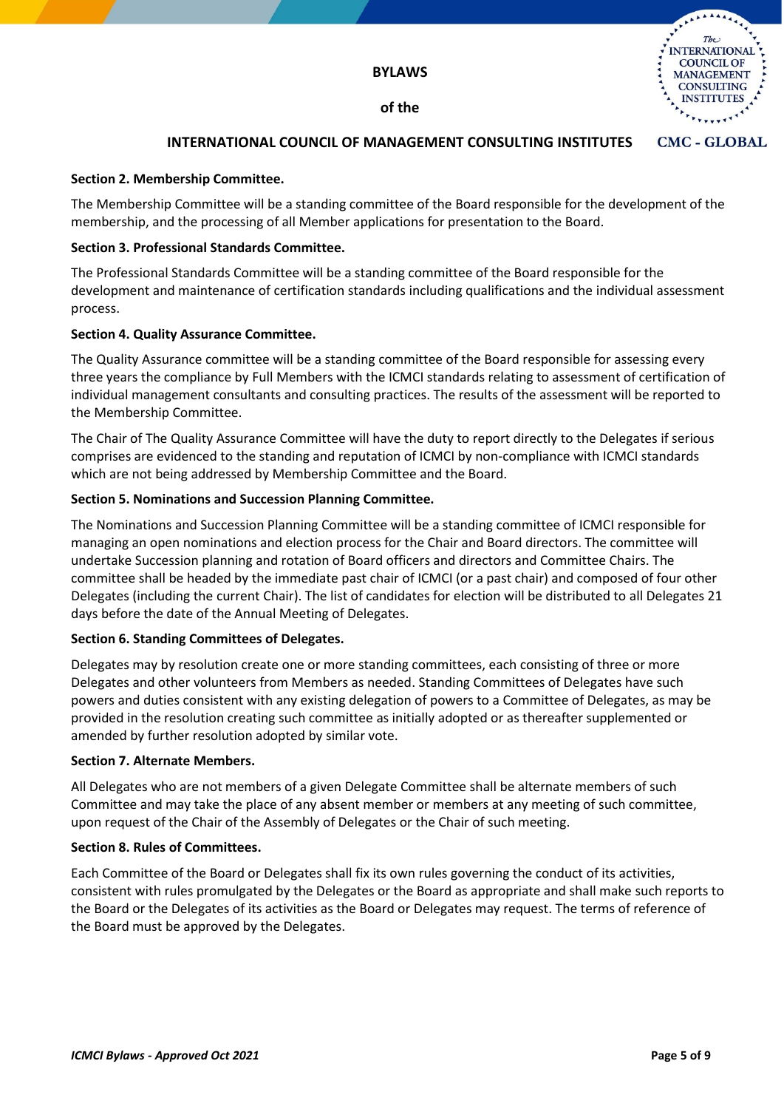

#### **CMC - GLOBAL INTERNATIONAL COUNCIL OF MANAGEMENT CONSULTING INSTITUTES**

## **Section 2. Membership Committee.**

The Membership Committee will be a standing committee of the Board responsible for the development of the membership, and the processing of all Member applications for presentation to the Board.

## **Section 3. Professional Standards Committee.**

The Professional Standards Committee will be a standing committee of the Board responsible for the development and maintenance of certification standards including qualifications and the individual assessment process.

## **Section 4. Quality Assurance Committee.**

The Quality Assurance committee will be a standing committee of the Board responsible for assessing every three years the compliance by Full Members with the ICMCI standards relating to assessment of certification of individual management consultants and consulting practices. The results of the assessment will be reported to the Membership Committee.

The Chair of The Quality Assurance Committee will have the duty to report directly to the Delegates if serious comprises are evidenced to the standing and reputation of ICMCI by non-compliance with ICMCI standards which are not being addressed by Membership Committee and the Board.

# **Section 5. Nominations and Succession Planning Committee.**

The Nominations and Succession Planning Committee will be a standing committee of ICMCI responsible for managing an open nominations and election process for the Chair and Board directors. The committee will undertake Succession planning and rotation of Board officers and directors and Committee Chairs. The committee shall be headed by the immediate past chair of ICMCI (or a past chair) and composed of four other Delegates (including the current Chair). The list of candidates for election will be distributed to all Delegates 21 days before the date of the Annual Meeting of Delegates.

## **Section 6. Standing Committees of Delegates.**

Delegates may by resolution create one or more standing committees, each consisting of three or more Delegates and other volunteers from Members as needed. Standing Committees of Delegates have such powers and duties consistent with any existing delegation of powers to a Committee of Delegates, as may be provided in the resolution creating such committee as initially adopted or as thereafter supplemented or amended by further resolution adopted by similar vote.

## **Section 7. Alternate Members.**

All Delegates who are not members of a given Delegate Committee shall be alternate members of such Committee and may take the place of any absent member or members at any meeting of such committee, upon request of the Chair of the Assembly of Delegates or the Chair of such meeting.

## **Section 8. Rules of Committees.**

Each Committee of the Board or Delegates shall fix its own rules governing the conduct of its activities, consistent with rules promulgated by the Delegates or the Board as appropriate and shall make such reports to the Board or the Delegates of its activities as the Board or Delegates may request. The terms of reference of the Board must be approved by the Delegates.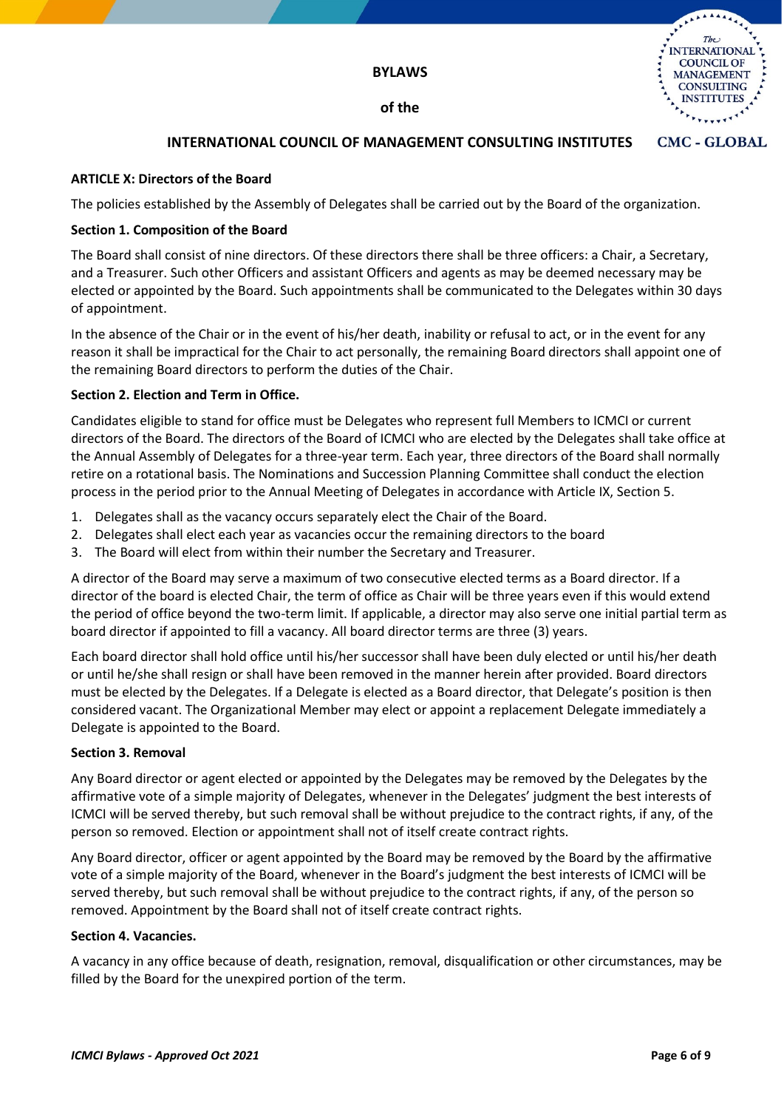

#### **CMC - GLOBAL INTERNATIONAL COUNCIL OF MANAGEMENT CONSULTING INSTITUTES**

## **ARTICLE X: Directors of the Board**

The policies established by the Assembly of Delegates shall be carried out by the Board of the organization.

## **Section 1. Composition of the Board**

The Board shall consist of nine directors. Of these directors there shall be three officers: a Chair, a Secretary, and a Treasurer. Such other Officers and assistant Officers and agents as may be deemed necessary may be elected or appointed by the Board. Such appointments shall be communicated to the Delegates within 30 days of appointment.

In the absence of the Chair or in the event of his/her death, inability or refusal to act, or in the event for any reason it shall be impractical for the Chair to act personally, the remaining Board directors shall appoint one of the remaining Board directors to perform the duties of the Chair.

# **Section 2. Election and Term in Office.**

Candidates eligible to stand for office must be Delegates who represent full Members to ICMCI or current directors of the Board. The directors of the Board of ICMCI who are elected by the Delegates shall take office at the Annual Assembly of Delegates for a three-year term. Each year, three directors of the Board shall normally retire on a rotational basis. The Nominations and Succession Planning Committee shall conduct the election process in the period prior to the Annual Meeting of Delegates in accordance with Article IX, Section 5.

- 1. Delegates shall as the vacancy occurs separately elect the Chair of the Board.
- 2. Delegates shall elect each year as vacancies occur the remaining directors to the board
- 3. The Board will elect from within their number the Secretary and Treasurer.

A director of the Board may serve a maximum of two consecutive elected terms as a Board director. If a director of the board is elected Chair, the term of office as Chair will be three years even if this would extend the period of office beyond the two-term limit. If applicable, a director may also serve one initial partial term as board director if appointed to fill a vacancy. All board director terms are three (3) years.

Each board director shall hold office until his/her successor shall have been duly elected or until his/her death or until he/she shall resign or shall have been removed in the manner herein after provided. Board directors must be elected by the Delegates. If a Delegate is elected as a Board director, that Delegate's position is then considered vacant. The Organizational Member may elect or appoint a replacement Delegate immediately a Delegate is appointed to the Board.

## **Section 3. Removal**

Any Board director or agent elected or appointed by the Delegates may be removed by the Delegates by the affirmative vote of a simple majority of Delegates, whenever in the Delegates' judgment the best interests of ICMCI will be served thereby, but such removal shall be without prejudice to the contract rights, if any, of the person so removed. Election or appointment shall not of itself create contract rights.

Any Board director, officer or agent appointed by the Board may be removed by the Board by the affirmative vote of a simple majority of the Board, whenever in the Board's judgment the best interests of ICMCI will be served thereby, but such removal shall be without prejudice to the contract rights, if any, of the person so removed. Appointment by the Board shall not of itself create contract rights.

## **Section 4. Vacancies.**

A vacancy in any office because of death, resignation, removal, disqualification or other circumstances, may be filled by the Board for the unexpired portion of the term.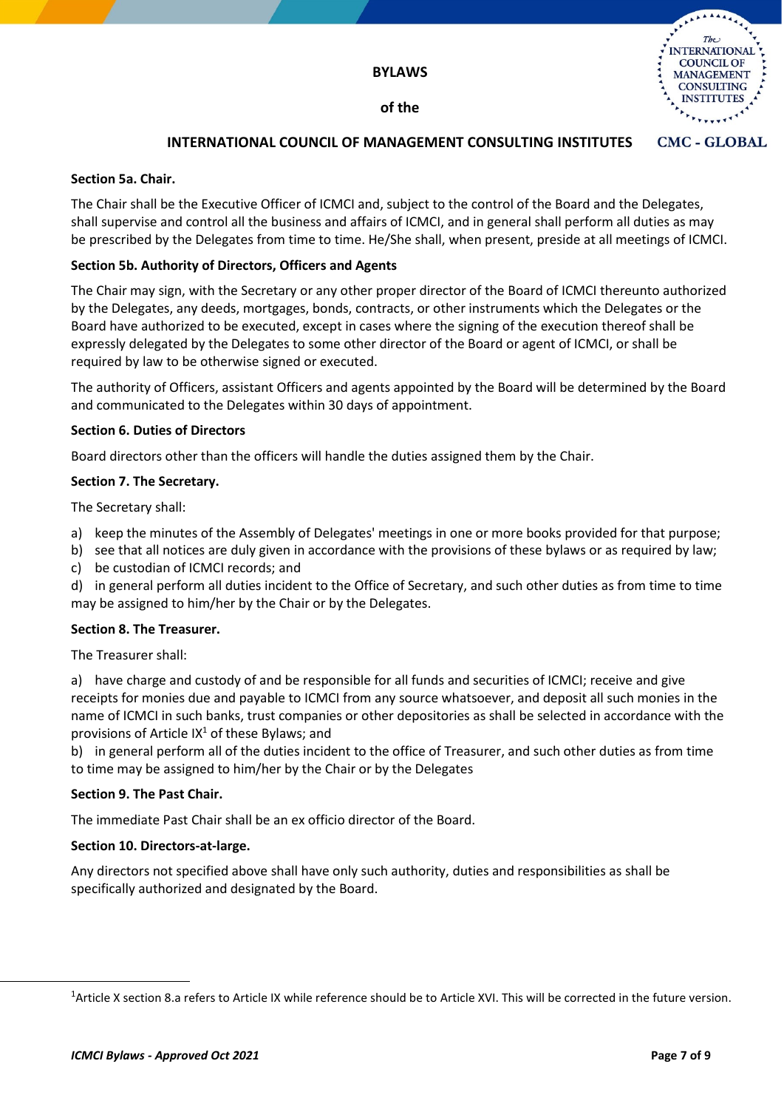

#### CMC - GLOBAL **INTERNATIONAL COUNCIL OF MANAGEMENT CONSULTING INSTITUTES**

#### **Section 5a. Chair.**

The Chair shall be the Executive Officer of ICMCI and, subject to the control of the Board and the Delegates, shall supervise and control all the business and affairs of ICMCI, and in general shall perform all duties as may be prescribed by the Delegates from time to time. He/She shall, when present, preside at all meetings of ICMCI.

#### **Section 5b. Authority of Directors, Officers and Agents**

The Chair may sign, with the Secretary or any other proper director of the Board of ICMCI thereunto authorized by the Delegates, any deeds, mortgages, bonds, contracts, or other instruments which the Delegates or the Board have authorized to be executed, except in cases where the signing of the execution thereof shall be expressly delegated by the Delegates to some other director of the Board or agent of ICMCI, or shall be required by law to be otherwise signed or executed.

The authority of Officers, assistant Officers and agents appointed by the Board will be determined by the Board and communicated to the Delegates within 30 days of appointment.

#### **Section 6. Duties of Directors**

Board directors other than the officers will handle the duties assigned them by the Chair.

#### **Section 7. The Secretary.**

The Secretary shall:

- a) keep the minutes of the Assembly of Delegates' meetings in one or more books provided for that purpose;
- b) see that all notices are duly given in accordance with the provisions of these bylaws or as required by law;
- c) be custodian of ICMCI records; and
- d) in general perform all duties incident to the Office of Secretary, and such other duties as from time to time may be assigned to him/her by the Chair or by the Delegates.

## **Section 8. The Treasurer.**

The Treasurer shall:

a) have charge and custody of and be responsible for all funds and securities of ICMCI; receive and give receipts for monies due and payable to ICMCI from any source whatsoever, and deposit all such monies in the name of ICMCI in such banks, trust companies or other depositories as shall be selected in accordance with the provisions of Article  $IX^1$  of these Bylaws; and

b) in general perform all of the duties incident to the office of Treasurer, and such other duties as from time to time may be assigned to him/her by the Chair or by the Delegates

## **Section 9. The Past Chair.**

The immediate Past Chair shall be an ex officio director of the Board.

## **Section 10. Directors-at-large.**

Any directors not specified above shall have only such authority, duties and responsibilities as shall be specifically authorized and designated by the Board.

<sup>&</sup>lt;sup>1</sup>Article X section 8.a refers to Article IX while reference should be to Article XVI. This will be corrected in the future version.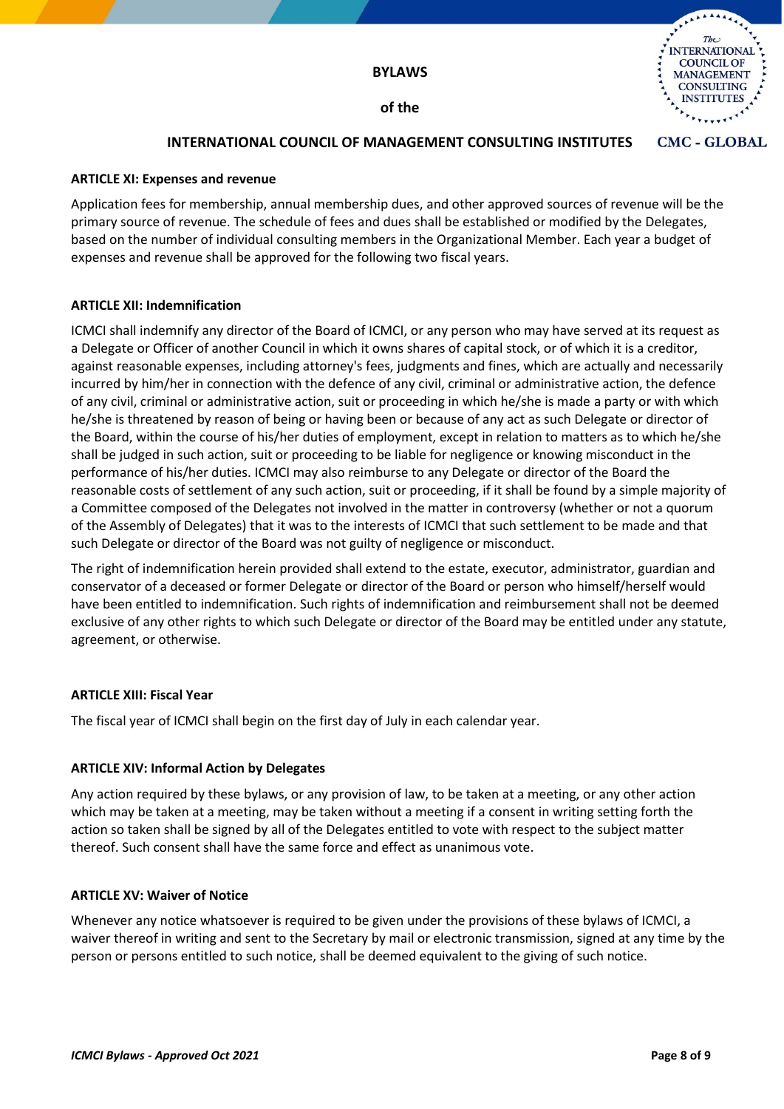

# **INTERNATIONAL COUNCIL OF MANAGEMENT CONSULTING INSTITUTES**

#### **ARTICLE XI: Expenses and revenue**

Application fees for membership, annual membership dues, and other approved sources of revenue will be the primary source of revenue. The schedule of fees and dues shall be established or modified by the Delegates, based on the number of individual consulting members in the Organizational Member. Each year a budget of expenses and revenue shall be approved for the following two fiscal years.

## **ARTICLE XII: Indemnification**

ICMCI shall indemnify any director of the Board of ICMCI, or any person who may have served at its request as a Delegate or Officer of another Council in which it owns shares of capital stock, or of which it is a creditor, against reasonable expenses, including attorney's fees, judgments and fines, which are actually and necessarily incurred by him/her in connection with the defence of any civil, criminal or administrative action, the defence of any civil, criminal or administrative action, suit or proceeding in which he/she is made a party or with which he/she is threatened by reason of being or having been or because of any act as such Delegate or director of the Board, within the course of his/her duties of employment, except in relation to matters as to which he/she shall be judged in such action, suit or proceeding to be liable for negligence or knowing misconduct in the performance of his/her duties. ICMCI may also reimburse to any Delegate or director of the Board the reasonable costs of settlement of any such action, suit or proceeding, if it shall be found by a simple majority of a Committee composed of the Delegates not involved in the matter in controversy (whether or not a quorum of the Assembly of Delegates) that it was to the interests of ICMCI that such settlement to be made and that such Delegate or director of the Board was not guilty of negligence or misconduct.

The right of indemnification herein provided shall extend to the estate, executor, administrator, guardian and conservator of a deceased or former Delegate or director of the Board or person who himself/herself would have been entitled to indemnification. Such rights of indemnification and reimbursement shall not be deemed exclusive of any other rights to which such Delegate or director of the Board may be entitled under any statute, agreement, or otherwise.

## **ARTICLE XIII: Fiscal Year**

The fiscal year of ICMCI shall begin on the first day of July in each calendar year.

## **ARTICLE XIV: Informal Action by Delegates**

Any action required by these bylaws, or any provision of law, to be taken at a meeting, or any other action which may be taken at a meeting, may be taken without a meeting if a consent in writing setting forth the action so taken shall be signed by all of the Delegates entitled to vote with respect to the subject matter thereof. Such consent shall have the same force and effect as unanimous vote.

#### **ARTICLE XV: Waiver of Notice**

Whenever any notice whatsoever is required to be given under the provisions of these bylaws of ICMCI, a waiver thereof in writing and sent to the Secretary by mail or electronic transmission, signed at any time by the person or persons entitled to such notice, shall be deemed equivalent to the giving of such notice.